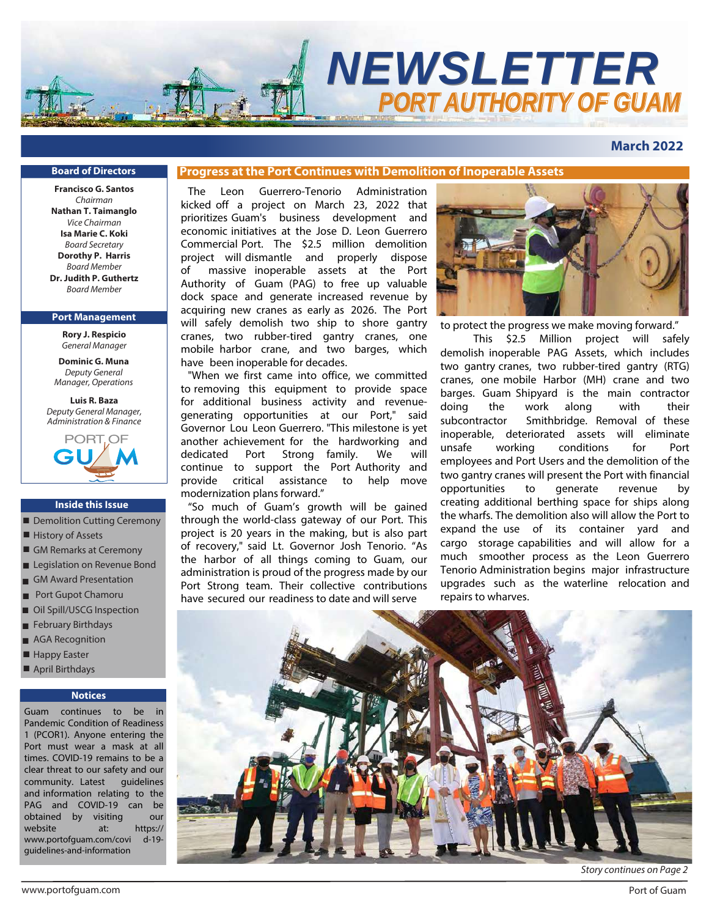

**March 2022**

#### **Board of Directors**

**Francisco G. Santos** Chairman **Nathan T. Taimanglo** Vice Chairman **Isa Marie C. Koki** Board Secretary **Dorothy P. Harris** Board Member **Dr. Judith P. Guthertz** Board Member

#### **Port Management**

**Rory J. Respicio** *General Manager*

**Dominic G. Muna** *Deputy General Manager, Operations*

**Luis R. Baza** *Deputy General Manager, Administration & Finance*



#### **Inside this Issue**

- Demolition Cutting Ceremony
- History of Assets
- GM Remarks at Ceremony
- Legislation on Revenue Bond
- GM Award Presentation ■
- Port Gupot Chamoru
- Oil Spill/USCG Inspection
- February Birthdays
- AGA Recognition
- Happy Easter
- April Birthdays

#### **Notices**

Guam continues to be in Pandemic Condition of Readiness 1 (PCOR1). Anyone entering the Port must wear a mask at all times. COVID-19 remains to be a clear threat to our safety and our community. Latest guidelines and information relating to the PAG and COVID-19 can be obtained by visiting our website at: https:// www.portofguam.com/covi d-19 guidelines-and-information

## **Progress at the Port Continues with Demolition of Inoperable Assets**

The Leon Guerrero-Tenorio Administration kicked off a project on March 23, 2022 that prioritizes Guam's business development and economic initiatives at the Jose D. Leon Guerrero Commercial Port. The \$2.5 million demolition project will dismantle and properly dispose of massive inoperable assets at the Port Authority of Guam (PAG) to free up valuable dock space and generate increased revenue by acquiring new cranes as early as 2026. The Port will safely demolish two ship to shore gantry cranes, two rubber-tired gantry cranes, one mobile harbor crane, and two barges, which have been inoperable for decades.

"When we first came into office, we committed to removing this equipment to provide space for additional business activity and revenuegenerating opportunities at our Port," said Governor Lou Leon Guerrero. "This milestone is yet another achievement for the hardworking and dedicated Port Strong family. We will continue to support the Port Authority and provide critical assistance to help move modernization plans forward."

"So much of Guam's growth will be gained through the world-class gateway of our Port. This project is 20 years in the making, but is also part of recovery," said Lt. Governor Josh Tenorio. "As the harbor of all things coming to Guam, our administration is proud of the progress made by our Port Strong team. Their collective contributions have secured our readiness to date and will serve



to protect the progress we make moving forward."

This \$2.5 Million project will safely demolish inoperable PAG Assets, which includes two gantry cranes, two rubber-tired gantry (RTG) cranes, one mobile Harbor (MH) crane and two barges. Guam Shipyard is the main contractor doing the work along with their subcontractor Smithbridge. Removal of these inoperable, deteriorated assets will eliminate unsafe working conditions for Port employees and Port Users and the demolition of the two gantry cranes will present the Port with financial opportunities to generate revenue by creating additional berthing space for ships along the wharfs. The demolition also will allow the Port to expand the use of its container yard and cargo storage capabilities and will allow for a much smoother process as the Leon Guerrero Tenorio Administration begins major infrastructure upgrades such as the waterline relocation and repairs to wharves.



Story continues on Page 2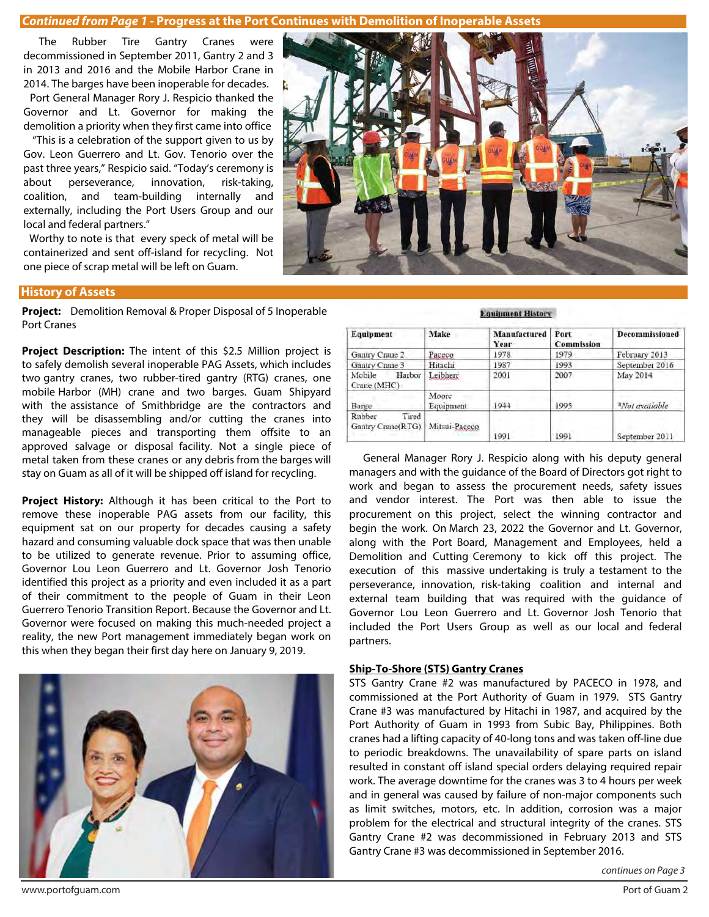#### **Continued from Page 1 - Progress at the Port Continues with Demolition of Inoperable Assets**

 The Rubber Tire Gantry Cranes were decommissioned in September 2011, Gantry 2 and 3 in 2013 and 2016 and the Mobile Harbor Crane in 2014. The barges have been inoperable for decades.

 Port General Manager Rory J. Respicio thanked the Governor and Lt. Governor for making the demolition a priority when they first came into office

 "This is a celebration of the support given to us by Gov. Leon Guerrero and Lt. Gov. Tenorio over the past three years," Respicio said. "Today's ceremony is about perseverance, innovation, risk-taking, coalition, and team-building internally and externally, including the Port Users Group and our local and federal partners."

 Worthy to note is that every speck of metal will be containerized and sent off-island for recycling. Not one piece of scrap metal will be left on Guam.

#### **History of Assets**

**Project:** Demolition Removal & Proper Disposal of 5 Inoperable Port Cranes

**Project Description:** The intent of this \$2.5 Million project is to safely demolish several inoperable PAG Assets, which includes two gantry cranes, two rubber-tired gantry (RTG) cranes, one mobile Harbor (MH) crane and two barges. Guam Shipyard with the assistance of Smithbridge are the contractors and they will be disassembling and/or cutting the cranes into manageable pieces and transporting them offsite to an approved salvage or disposal facility. Not a single piece of metal taken from these cranes or any debris from the barges will stay on Guam as all of it will be shipped off island for recycling.

**Project History:** Although it has been critical to the Port to remove these inoperable PAG assets from our facility, this equipment sat on our property for decades causing a safety hazard and consuming valuable dock space that was then unable to be utilized to generate revenue. Prior to assuming office, Governor Lou Leon Guerrero and Lt. Governor Josh Tenorio identified this project as a priority and even included it as a part of their commitment to the people of Guam in their Leon Guerrero Tenorio Transition Report. Because the Governor and Lt. Governor were focused on making this much-needed project a reality, the new Port management immediately began work on this when they began their first day here on January 9, 2019.



#### **Equipment History**

| Equipment                            | Make               | Manufactured<br>Year | Port<br><b>Commission</b> | <b>Decommissioned</b> |
|--------------------------------------|--------------------|----------------------|---------------------------|-----------------------|
| Gantry Crane 2                       | Paceco             | 1978                 | 1979                      | February 2013         |
| Gantry Crane 3                       | Hitachi            | 1987                 | 1993                      | September 2016        |
| Mobile<br>Harbor<br>Crane (MHC)      | Leibherr           | 2001                 | 2007                      | May 2014              |
| Barge                                | Moore<br>Equipment | 1944                 | 1995                      | *Not available        |
| Tired<br>Rubber<br>Gantry Crane(RTG) | Mitsui-Paceco      | 1991                 | 1991                      | September 2011        |

 General Manager Rory J. Respicio along with his deputy general managers and with the guidance of the Board of Directors got right to work and began to assess the procurement needs, safety issues and vendor interest. The Port was then able to issue the procurement on this project, select the winning contractor and begin the work. On March 23, 2022 the Governor and Lt. Governor, along with the Port Board, Management and Employees, held a Demolition and Cutting Ceremony to kick off this project. The execution of this massive undertaking is truly a testament to the perseverance, innovation, risk-taking coalition and internal and external team building that was required with the guidance of Governor Lou Leon Guerrero and Lt. Governor Josh Tenorio that included the Port Users Group as well as our local and federal partners.

#### **Ship-To-Shore (STS) Gantry Cranes**

STS Gantry Crane #2 was manufactured by PACECO in 1978, and commissioned at the Port Authority of Guam in 1979. STS Gantry Crane #3 was manufactured by Hitachi in 1987, and acquired by the Port Authority of Guam in 1993 from Subic Bay, Philippines. Both cranes had a lifting capacity of 40-long tons and was taken off-line due to periodic breakdowns. The unavailability of spare parts on island resulted in constant off island special orders delaying required repair work. The average downtime for the cranes was 3 to 4 hours per week and in general was caused by failure of non-major components such as limit switches, motors, etc. In addition, corrosion was a major problem for the electrical and structural integrity of the cranes. STS Gantry Crane #2 was decommissioned in February 2013 and STS Gantry Crane #3 was decommissioned in September 2016.

continues on Page 3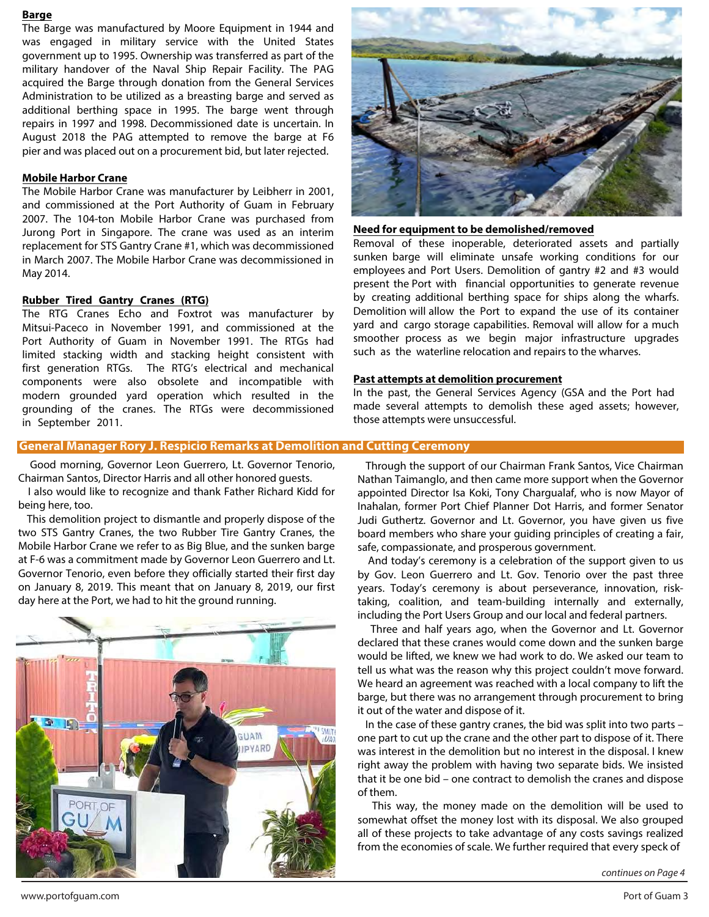#### **Barge**

The Barge was manufactured by Moore Equipment in 1944 and was engaged in military service with the United States government up to 1995. Ownership was transferred as part of the military handover of the Naval Ship Repair Facility. The PAG acquired the Barge through donation from the General Services Administration to be utilized as a breasting barge and served as additional berthing space in 1995. The barge went through repairs in 1997 and 1998. Decommissioned date is uncertain. In August 2018 the PAG attempted to remove the barge at F6 pier and was placed out on a procurement bid, but later rejected.

#### **Mobile Harbor Crane**

The Mobile Harbor Crane was manufacturer by Leibherr in 2001, and commissioned at the Port Authority of Guam in February 2007. The 104-ton Mobile Harbor Crane was purchased from Jurong Port in Singapore. The crane was used as an interim replacement for STS Gantry Crane #1, which was decommissioned in March 2007. The Mobile Harbor Crane was decommissioned in May 2014.

#### **Rubber Tired Gantry Cranes (RTG)**

The RTG Cranes Echo and Foxtrot was manufacturer by Mitsui-Paceco in November 1991, and commissioned at the Port Authority of Guam in November 1991. The RTGs had limited stacking width and stacking height consistent with first generation RTGs. The RTG's electrical and mechanical components were also obsolete and incompatible with modern grounded yard operation which resulted in the grounding of the cranes. The RTGs were decommissioned in September 2011.



#### **Need for equipment to be demolished/removed**

Removal of these inoperable, deteriorated assets and partially sunken barge will eliminate unsafe working conditions for our employees and Port Users. Demolition of gantry #2 and #3 would present the Port with financial opportunities to generate revenue by creating additional berthing space for ships along the wharfs. Demolition will allow the Port to expand the use of its container yard and cargo storage capabilities. Removal will allow for a much smoother process as we begin major infrastructure upgrades such as the waterline relocation and repairs to the wharves.

#### **Past attempts at demolition procurement**

In the past, the General Services Agency (GSA and the Port had made several attempts to demolish these aged assets; however, those attempts were unsuccessful.

#### **General Manager Rory J. Respicio Remarks at Demolition and Cutting Ceremony**

 Good morning, Governor Leon Guerrero, Lt. Governor Tenorio, Chairman Santos, Director Harris and all other honored guests.

 I also would like to recognize and thank Father Richard Kidd for being here, too.

 This demolition project to dismantle and properly dispose of the two STS Gantry Cranes, the two Rubber Tire Gantry Cranes, the Mobile Harbor Crane we refer to as Big Blue, and the sunken barge at F-6 was a commitment made by Governor Leon Guerrero and Lt. Governor Tenorio, even before they officially started their first day on January 8, 2019. This meant that on January 8, 2019, our first day here at the Port, we had to hit the ground running.



Through the support of our Chairman Frank Santos, Vice Chairman Nathan Taimanglo, and then came more support when the Governor appointed Director Isa Koki, Tony Chargualaf, who is now Mayor of Inahalan, former Port Chief Planner Dot Harris, and former Senator Judi Guthertz. Governor and Lt. Governor, you have given us five board members who share your guiding principles of creating a fair, safe, compassionate, and prosperous government.

And today's ceremony is a celebration of the support given to us by Gov. Leon Guerrero and Lt. Gov. Tenorio over the past three years. Today's ceremony is about perseverance, innovation, risktaking, coalition, and team-building internally and externally, including the Port Users Group and our local and federal partners.

Three and half years ago, when the Governor and Lt. Governor declared that these cranes would come down and the sunken barge would be lifted, we knew we had work to do. We asked our team to tell us what was the reason why this project couldn't move forward. We heard an agreement was reached with a local company to lift the barge, but there was no arrangement through procurement to bring it out of the water and dispose of it.

 In the case of these gantry cranes, the bid was split into two parts – one part to cut up the crane and the other part to dispose of it. There was interest in the demolition but no interest in the disposal. I knew right away the problem with having two separate bids. We insisted that it be one bid – one contract to demolish the cranes and dispose of them.

 This way, the money made on the demolition will be used to somewhat offset the money lost with its disposal. We also grouped all of these projects to take advantage of any costs savings realized from the economies of scale. We further required that every speck of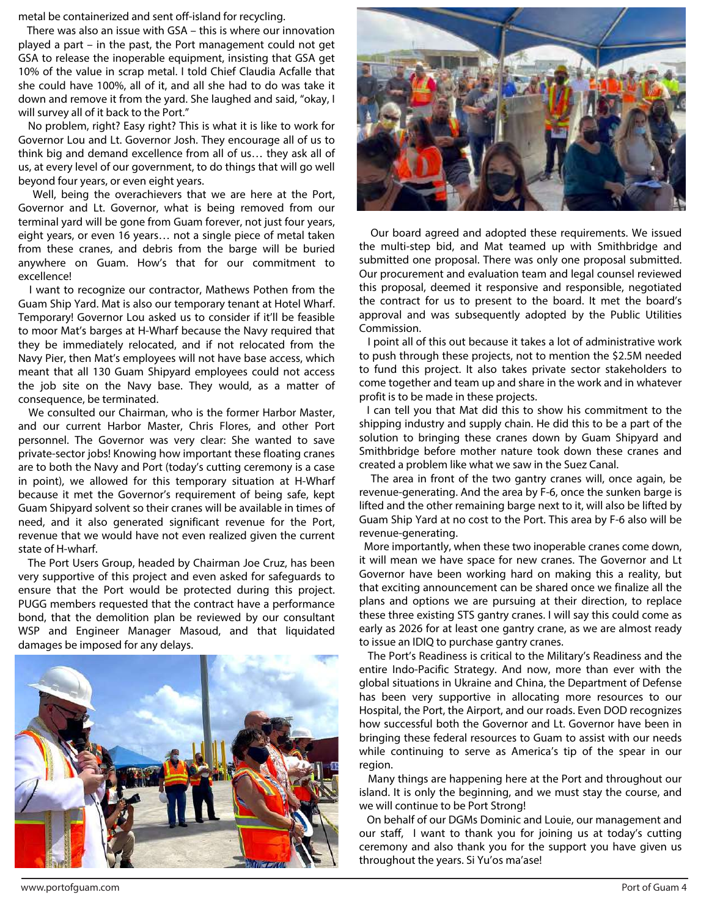metal be containerized and sent off-island for recycling.

 There was also an issue with GSA – this is where our innovation played a part – in the past, the Port management could not get GSA to release the inoperable equipment, insisting that GSA get 10% of the value in scrap metal. I told Chief Claudia Acfalle that she could have 100%, all of it, and all she had to do was take it down and remove it from the yard. She laughed and said, "okay, I will survey all of it back to the Port."

 No problem, right? Easy right? This is what it is like to work for Governor Lou and Lt. Governor Josh. They encourage all of us to think big and demand excellence from all of us… they ask all of us, at every level of our government, to do things that will go well beyond four years, or even eight years.

 Well, being the overachievers that we are here at the Port, Governor and Lt. Governor, what is being removed from our terminal yard will be gone from Guam forever, not just four years, eight years, or even 16 years… not a single piece of metal taken from these cranes, and debris from the barge will be buried anywhere on Guam. How's that for our commitment to excellence!

 I want to recognize our contractor, Mathews Pothen from the Guam Ship Yard. Mat is also our temporary tenant at Hotel Wharf. Temporary! Governor Lou asked us to consider if it'll be feasible to moor Mat's barges at H-Wharf because the Navy required that they be immediately relocated, and if not relocated from the Navy Pier, then Mat's employees will not have base access, which meant that all 130 Guam Shipyard employees could not access the job site on the Navy base. They would, as a matter of consequence, be terminated.

We consulted our Chairman, who is the former Harbor Master, and our current Harbor Master, Chris Flores, and other Port personnel. The Governor was very clear: She wanted to save private-sector jobs! Knowing how important these floating cranes are to both the Navy and Port (today's cutting ceremony is a case in point), we allowed for this temporary situation at H-Wharf because it met the Governor's requirement of being safe, kept Guam Shipyard solvent so their cranes will be available in times of need, and it also generated significant revenue for the Port, revenue that we would have not even realized given the current state of H-wharf.

 The Port Users Group, headed by Chairman Joe Cruz, has been very supportive of this project and even asked for safeguards to ensure that the Port would be protected during this project. PUGG members requested that the contract have a performance bond, that the demolition plan be reviewed by our consultant WSP and Engineer Manager Masoud, and that liquidated damages be imposed for any delays.





 Our board agreed and adopted these requirements. We issued the multi-step bid, and Mat teamed up with Smithbridge and submitted one proposal. There was only one proposal submitted. Our procurement and evaluation team and legal counsel reviewed this proposal, deemed it responsive and responsible, negotiated the contract for us to present to the board. It met the board's approval and was subsequently adopted by the Public Utilities Commission.

 I point all of this out because it takes a lot of administrative work to push through these projects, not to mention the \$2.5M needed to fund this project. It also takes private sector stakeholders to come together and team up and share in the work and in whatever profit is to be made in these projects.

I can tell you that Mat did this to show his commitment to the shipping industry and supply chain. He did this to be a part of the solution to bringing these cranes down by Guam Shipyard and Smithbridge before mother nature took down these cranes and created a problem like what we saw in the Suez Canal.

 The area in front of the two gantry cranes will, once again, be revenue-generating. And the area by F-6, once the sunken barge is lifted and the other remaining barge next to it, will also be lifted by Guam Ship Yard at no cost to the Port. This area by F-6 also will be revenue-generating.

 More importantly, when these two inoperable cranes come down, it will mean we have space for new cranes. The Governor and Lt Governor have been working hard on making this a reality, but that exciting announcement can be shared once we finalize all the plans and options we are pursuing at their direction, to replace these three existing STS gantry cranes. I will say this could come as early as 2026 for at least one gantry crane, as we are almost ready to issue an IDIQ to purchase gantry cranes.

 The Port's Readiness is critical to the Military's Readiness and the entire Indo-Pacific Strategy. And now, more than ever with the global situations in Ukraine and China, the Department of Defense has been very supportive in allocating more resources to our Hospital, the Port, the Airport, and our roads. Even DOD recognizes how successful both the Governor and Lt. Governor have been in bringing these federal resources to Guam to assist with our needs while continuing to serve as America's tip of the spear in our region.

 Many things are happening here at the Port and throughout our island. It is only the beginning, and we must stay the course, and we will continue to be Port Strong!

 On behalf of our DGMs Dominic and Louie, our management and our staff, I want to thank you for joining us at today's cutting ceremony and also thank you for the support you have given us throughout the years. Si Yu'os ma'ase!

www.portofguam.com Port of Guam 4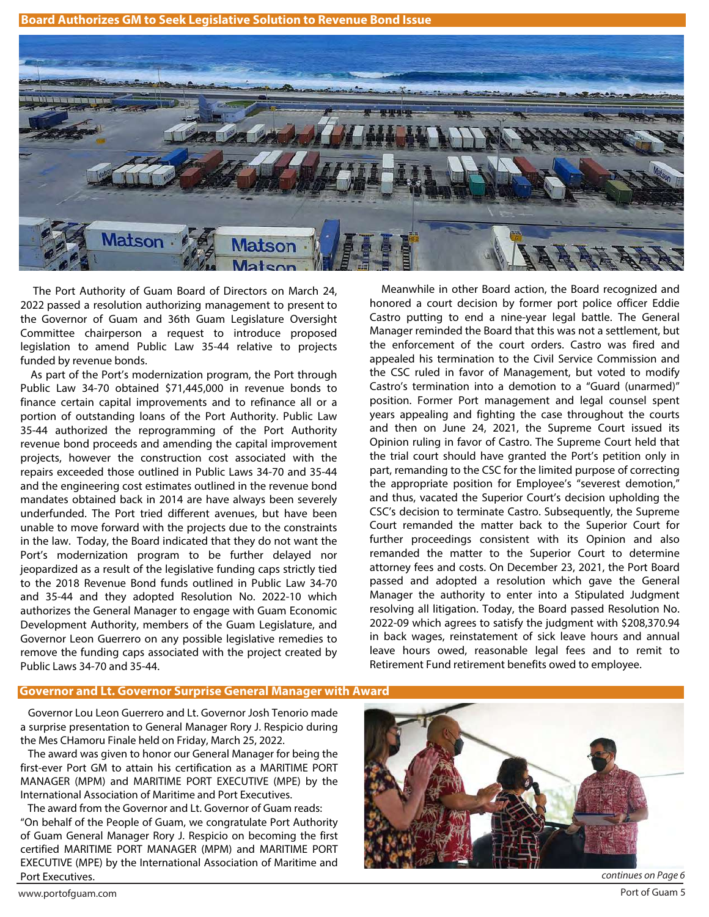**Board Authorizes GM to Seek Legislative Solution to Revenue Bond Issue** 



 The Port Authority of Guam Board of Directors on March 24, 2022 passed a resolution authorizing management to present to the Governor of Guam and 36th Guam Legislature Oversight Committee chairperson a request to introduce proposed legislation to amend Public Law 35-44 relative to projects funded by revenue bonds.

 As part of the Port's modernization program, the Port through Public Law 34-70 obtained \$71,445,000 in revenue bonds to finance certain capital improvements and to refinance all or a portion of outstanding loans of the Port Authority. Public Law 35-44 authorized the reprogramming of the Port Authority revenue bond proceeds and amending the capital improvement projects, however the construction cost associated with the repairs exceeded those outlined in Public Laws 34-70 and 35-44 and the engineering cost estimates outlined in the revenue bond mandates obtained back in 2014 are have always been severely underfunded. The Port tried different avenues, but have been unable to move forward with the projects due to the constraints in the law. Today, the Board indicated that they do not want the Port's modernization program to be further delayed nor jeopardized as a result of the legislative funding caps strictly tied to the 2018 Revenue Bond funds outlined in Public Law 34-70 and 35-44 and they adopted Resolution No. 2022-10 which authorizes the General Manager to engage with Guam Economic Development Authority, members of the Guam Legislature, and Governor Leon Guerrero on any possible legislative remedies to remove the funding caps associated with the project created by Public Laws 34-70 and 35-44.

 Meanwhile in other Board action, the Board recognized and honored a court decision by former port police officer Eddie Castro putting to end a nine-year legal battle. The General Manager reminded the Board that this was not a settlement, but the enforcement of the court orders. Castro was fired and appealed his termination to the Civil Service Commission and the CSC ruled in favor of Management, but voted to modify Castro's termination into a demotion to a "Guard (unarmed)" position. Former Port management and legal counsel spent years appealing and fighting the case throughout the courts and then on June 24, 2021, the Supreme Court issued its Opinion ruling in favor of Castro. The Supreme Court held that the trial court should have granted the Port's petition only in part, remanding to the CSC for the limited purpose of correcting the appropriate position for Employee's "severest demotion," and thus, vacated the Superior Court's decision upholding the CSC's decision to terminate Castro. Subsequently, the Supreme Court remanded the matter back to the Superior Court for further proceedings consistent with its Opinion and also remanded the matter to the Superior Court to determine attorney fees and costs. On December 23, 2021, the Port Board passed and adopted a resolution which gave the General Manager the authority to enter into a Stipulated Judgment resolving all litigation. Today, the Board passed Resolution No. 2022-09 which agrees to satisfy the judgment with \$208,370.94 in back wages, reinstatement of sick leave hours and annual leave hours owed, reasonable legal fees and to remit to Retirement Fund retirement benefits owed to employee.

#### **Governor and Lt. Governor Surprise General Manager with Award**

 Governor Lou Leon Guerrero and Lt. Governor Josh Tenorio made a surprise presentation to General Manager Rory J. Respicio during the Mes CHamoru Finale held on Friday, March 25, 2022.

 The award was given to honor our General Manager for being the first-ever Port GM to attain his certification as a MARITIME PORT MANAGER (MPM) and MARITIME PORT EXECUTIVE (MPE) by the International Association of Maritime and Port Executives.

 The award from the Governor and Lt. Governor of Guam reads: "On behalf of the People of Guam, we congratulate Port Authority of Guam General Manager Rory J. Respicio on becoming the first certified MARITIME PORT MANAGER (MPM) and MARITIME PORT EXECUTIVE (MPE) by the International Association of Maritime and Port Executives. continues on Page 6

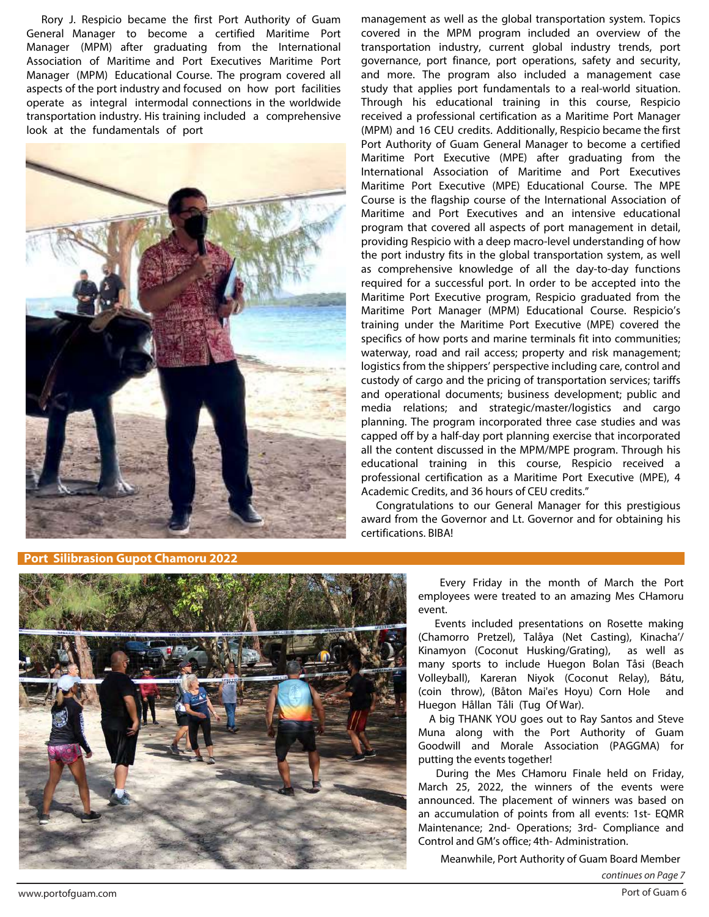Rory J. Respicio became the first Port Authority of Guam General Manager to become a certified Maritime Port Manager (MPM) after graduating from the International Association of Maritime and Port Executives Maritime Port Manager (MPM) Educational Course. The program covered all aspects of the port industry and focused on how port facilities operate as integral intermodal connections in the worldwide transportation industry. His training included a comprehensive look at the fundamentals of port



covered in the MPM program included an overview of the transportation industry, current global industry trends, port governance, port finance, port operations, safety and security, and more. The program also included a management case study that applies port fundamentals to a real-world situation. Through his educational training in this course, Respicio received a professional certification as a Maritime Port Manager (MPM) and 16 CEU credits. Additionally, Respicio became the first Port Authority of Guam General Manager to become a certified Maritime Port Executive (MPE) after graduating from the International Association of Maritime and Port Executives Maritime Port Executive (MPE) Educational Course. The MPE Course is the flagship course of the International Association of Maritime and Port Executives and an intensive educational program that covered all aspects of port management in detail, providing Respicio with a deep macro-level understanding of how the port industry fits in the global transportation system, as well as comprehensive knowledge of all the day-to-day functions required for a successful port. In order to be accepted into the Maritime Port Executive program, Respicio graduated from the Maritime Port Manager (MPM) Educational Course. Respicio's training under the Maritime Port Executive (MPE) covered the specifics of how ports and marine terminals fit into communities; waterway, road and rail access; property and risk management; logistics from the shippers' perspective including care, control and custody of cargo and the pricing of transportation services; tariffs and operational documents; business development; public and media relations; and strategic/master/logistics and cargo planning. The program incorporated three case studies and was capped off by a half-day port planning exercise that incorporated all the content discussed in the MPM/MPE program. Through his educational training in this course, Respicio received a professional certification as a Maritime Port Executive (MPE), 4 Academic Credits, and 36 hours of CEU credits."

management as well as the global transportation system. Topics

 Congratulations to our General Manager for this prestigious award from the Governor and Lt. Governor and for obtaining his certifications. BIBA!

**Port Silibrasion Gupot Chamoru 2022**



 Every Friday in the month of March the Port employees were treated to an amazing Mes CHamoru event.

Events included presentations on Rosette making (Chamorro Pretzel), Talåya (Net Casting), Kinacha'/ Kinamyon (Coconut Husking/Grating), as well as many sports to include Huegon Bolan Tåsi (Beach Volleyball), Kareran Niyok (Coconut Relay), Bátu, (coin throw), (Båton Mai'es Hoyu) Corn Hole and Huegon Hållan Tåli (Tug Of War).

 A big THANK YOU goes out to Ray Santos and Steve Muna along with the Port Authority of Guam Goodwill and Morale Association (PAGGMA) for putting the events together!

During the Mes CHamoru Finale held on Friday, March 25, 2022, the winners of the events were announced. The placement of winners was based on an accumulation of points from all events: 1st- EQMR Maintenance; 2nd- Operations; 3rd- Compliance and Control and GM's office; 4th- Administration.

Meanwhile, Port Authority of Guam Board Member

continues on Page 7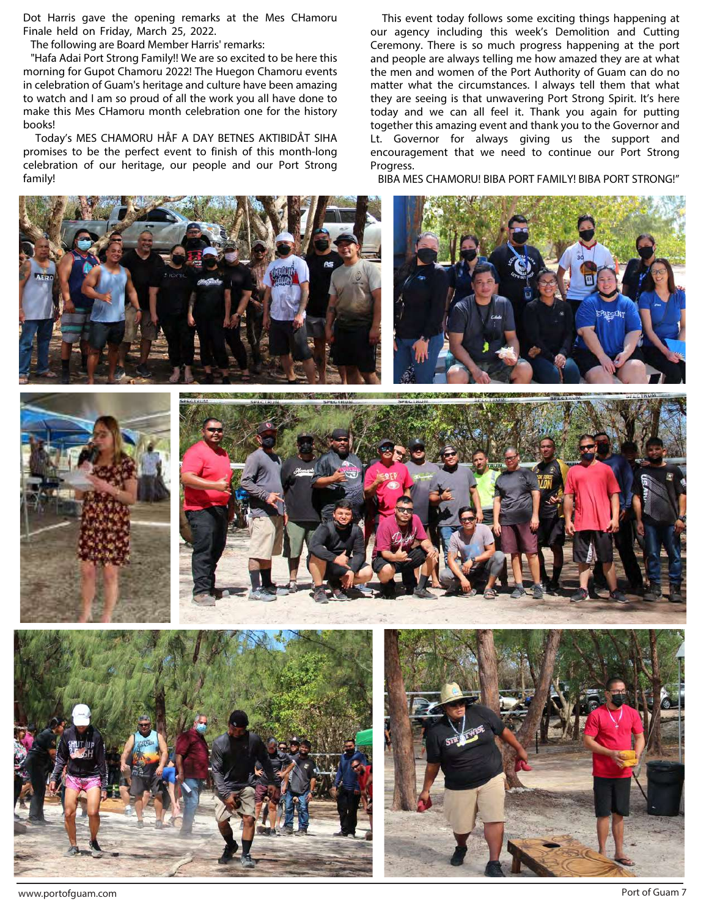Dot Harris gave the opening remarks at the Mes CHamoru Finale held on Friday, March 25, 2022.

The following are Board Member Harris' remarks:

 "Hafa Adai Port Strong Family!! We are so excited to be here this morning for Gupot Chamoru 2022! The Huegon Chamoru events in celebration of Guam's heritage and culture have been amazing to watch and I am so proud of all the work you all have done to make this Mes CHamoru month celebration one for the history books!

 Today's MES CHAMORU HÅF A DAY BETNES AKTIBIDÅT SIHA promises to be the perfect event to finish of this month-long celebration of our heritage, our people and our Port Strong family!

 This event today follows some exciting things happening at our agency including this week's Demolition and Cutting Ceremony. There is so much progress happening at the port and people are always telling me how amazed they are at what the men and women of the Port Authority of Guam can do no matter what the circumstances. I always tell them that what they are seeing is that unwavering Port Strong Spirit. It's here today and we can all feel it. Thank you again for putting together this amazing event and thank you to the Governor and Lt. Governor for always giving us the support and encouragement that we need to continue our Port Strong Progress.

BIBA MES CHAMORU! BIBA PORT FAMILY! BIBA PORT STRONG!"